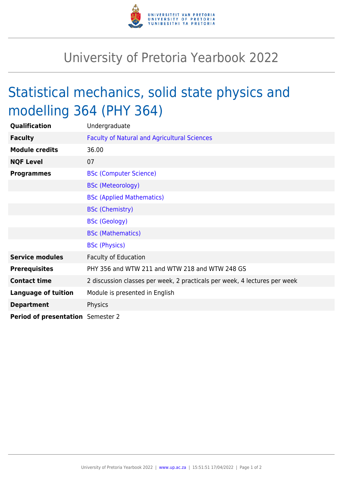

## University of Pretoria Yearbook 2022

## Statistical mechanics, solid state physics and modelling 364 (PHY 364)

| Qualification                     | Undergraduate                                                             |
|-----------------------------------|---------------------------------------------------------------------------|
| <b>Faculty</b>                    | <b>Faculty of Natural and Agricultural Sciences</b>                       |
| <b>Module credits</b>             | 36.00                                                                     |
| <b>NQF Level</b>                  | 07                                                                        |
| <b>Programmes</b>                 | <b>BSc (Computer Science)</b>                                             |
|                                   | <b>BSc (Meteorology)</b>                                                  |
|                                   | <b>BSc (Applied Mathematics)</b>                                          |
|                                   | <b>BSc (Chemistry)</b>                                                    |
|                                   | <b>BSc (Geology)</b>                                                      |
|                                   | <b>BSc (Mathematics)</b>                                                  |
|                                   | <b>BSc (Physics)</b>                                                      |
| <b>Service modules</b>            | <b>Faculty of Education</b>                                               |
| <b>Prerequisites</b>              | PHY 356 and WTW 211 and WTW 218 and WTW 248 GS                            |
| <b>Contact time</b>               | 2 discussion classes per week, 2 practicals per week, 4 lectures per week |
| <b>Language of tuition</b>        | Module is presented in English                                            |
| <b>Department</b>                 | Physics                                                                   |
| Period of presentation Semester 2 |                                                                           |